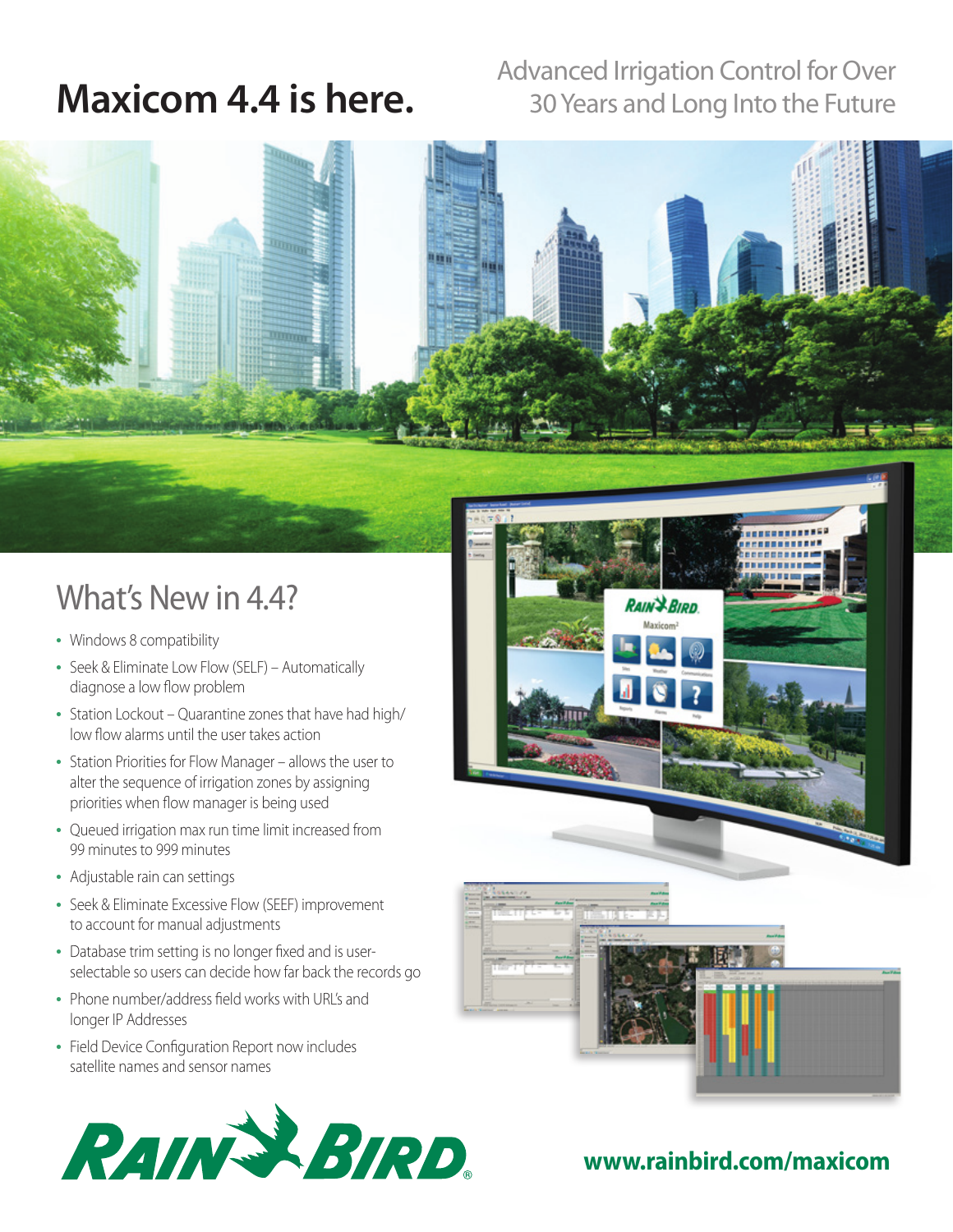### Advanced Irrigation Control for Over<br> **Maxicom 4.4 is here.** Advanced Irrigation Control for Over 30 Years and Long Into the Future

## What's New in 4.4?

- Windows 8 compatibility
- Seek & Eliminate Low Flow (SELF) Automatically diagnose a low flow problem
- Station Lockout Quarantine zones that have had high/ low flow alarms until the user takes action
- Station Priorities for Flow Manager allows the user to alter the sequence of irrigation zones by assigning priorities when flow manager is being used
- Queued irrigation max run time limit increased from 99 minutes to 999 minutes
- Adjustable rain can settings
- Seek & Eliminate Excessive Flow (SEEF) improvement to account for manual adjustments
- Database trim setting is no longer fixed and is userselectable so users can decide how far back the records go
- Phone number/address field works with URL's and longer IP Addresses
- Field Device Configuration Report now includes satellite names and sensor names







#### **www.rainbird.com/maxicom**